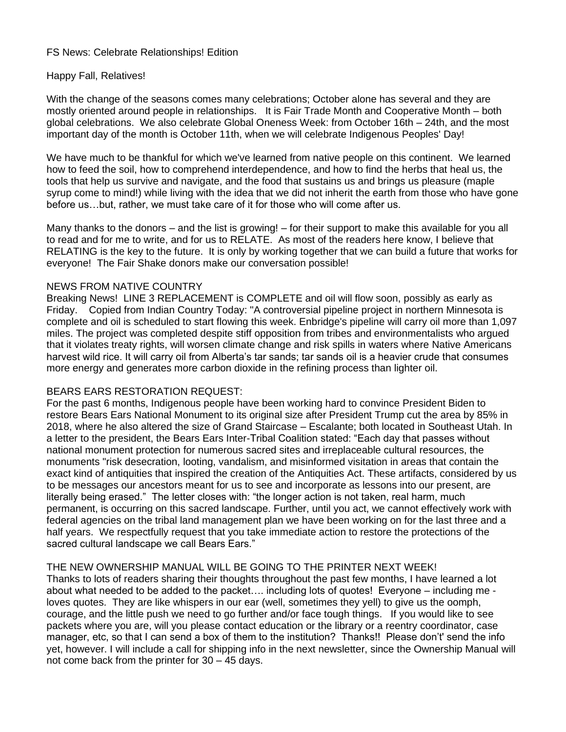#### FS News: Celebrate Relationships! Edition

#### Happy Fall, Relatives!

With the change of the seasons comes many celebrations; October alone has several and they are mostly oriented around people in relationships. It is Fair Trade Month and Cooperative Month – both global celebrations. We also celebrate Global Oneness Week: from October 16th – 24th, and the most important day of the month is October 11th, when we will celebrate Indigenous Peoples' Day!

We have much to be thankful for which we've learned from native people on this continent. We learned how to feed the soil, how to comprehend interdependence, and how to find the herbs that heal us, the tools that help us survive and navigate, and the food that sustains us and brings us pleasure (maple syrup come to mind!) while living with the idea that we did not inherit the earth from those who have gone before us…but, rather, we must take care of it for those who will come after us.

Many thanks to the donors – and the list is growing! – for their support to make this available for you all to read and for me to write, and for us to RELATE. As most of the readers here know, I believe that RELATING is the key to the future. It is only by working together that we can build a future that works for everyone! The Fair Shake donors make our conversation possible!

#### NEWS FROM NATIVE COUNTRY

Breaking News! LINE 3 REPLACEMENT is COMPLETE and oil will flow soon, possibly as early as Friday. Copied from Indian Country Today: "A controversial pipeline project in northern Minnesota is complete and oil is scheduled to start flowing this week. Enbridge's pipeline will carry oil more than 1,097 miles. The project was completed despite stiff opposition from tribes and environmentalists who argued that it violates treaty rights, will worsen climate change and risk spills in waters where Native Americans harvest wild rice. It will carry oil from Alberta's tar sands; tar sands oil is a heavier crude that consumes more energy and generates more carbon dioxide in the refining process than lighter oil.

#### BEARS EARS RESTORATION REQUEST:

For the past 6 months, Indigenous people have been working hard to convince President Biden to restore Bears Ears National Monument to its original size after President Trump cut the area by 85% in 2018, where he also altered the size of Grand Staircase – Escalante; both located in Southeast Utah. In a letter to the president, the Bears Ears Inter-Tribal Coalition stated: "Each day that passes without national monument protection for numerous sacred sites and irreplaceable cultural resources, the monuments "risk desecration, looting, vandalism, and misinformed visitation in areas that contain the exact kind of antiquities that inspired the creation of the Antiquities Act. These artifacts, considered by us to be messages our ancestors meant for us to see and incorporate as lessons into our present, are literally being erased." The letter closes with: "the longer action is not taken, real harm, much permanent, is occurring on this sacred landscape. Further, until you act, we cannot effectively work with federal agencies on the tribal land management plan we have been working on for the last three and a half years. We respectfully request that you take immediate action to restore the protections of the sacred cultural landscape we call Bears Ears."

### THE NEW OWNERSHIP MANUAL WILL BE GOING TO THE PRINTER NEXT WEEK!

Thanks to lots of readers sharing their thoughts throughout the past few months, I have learned a lot about what needed to be added to the packet…. including lots of quotes! Everyone – including me loves quotes. They are like whispers in our ear (well, sometimes they yell) to give us the oomph, courage, and the little push we need to go further and/or face tough things. If you would like to see packets where you are, will you please contact education or the library or a reentry coordinator, case manager, etc, so that I can send a box of them to the institution? Thanks!! Please don't' send the info yet, however. I will include a call for shipping info in the next newsletter, since the Ownership Manual will not come back from the printer for 30 – 45 days.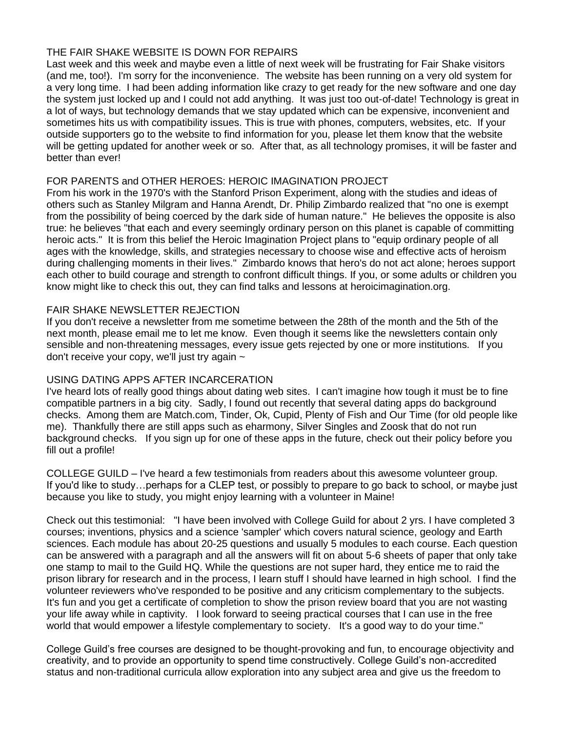### THE FAIR SHAKE WEBSITE IS DOWN FOR REPAIRS

Last week and this week and maybe even a little of next week will be frustrating for Fair Shake visitors (and me, too!). I'm sorry for the inconvenience. The website has been running on a very old system for a very long time. I had been adding information like crazy to get ready for the new software and one day the system just locked up and I could not add anything. It was just too out-of-date! Technology is great in a lot of ways, but technology demands that we stay updated which can be expensive, inconvenient and sometimes hits us with compatibility issues. This is true with phones, computers, websites, etc. If your outside supporters go to the website to find information for you, please let them know that the website will be getting updated for another week or so. After that, as all technology promises, it will be faster and better than ever!

## FOR PARENTS and OTHER HEROES: HEROIC IMAGINATION PROJECT

From his work in the 1970's with the Stanford Prison Experiment, along with the studies and ideas of others such as Stanley Milgram and Hanna Arendt, Dr. Philip Zimbardo realized that "no one is exempt from the possibility of being coerced by the dark side of human nature." He believes the opposite is also true: he believes "that each and every seemingly ordinary person on this planet is capable of committing heroic acts." It is from this belief the Heroic Imagination Project plans to "equip ordinary people of all ages with the knowledge, skills, and strategies necessary to choose wise and effective acts of heroism during challenging moments in their lives." Zimbardo knows that hero's do not act alone; heroes support each other to build courage and strength to confront difficult things. If you, or some adults or children you know might like to check this out, they can find talks and lessons at heroicimagination.org.

### FAIR SHAKE NEWSLETTER REJECTION

If you don't receive a newsletter from me sometime between the 28th of the month and the 5th of the next month, please email me to let me know. Even though it seems like the newsletters contain only sensible and non-threatening messages, every issue gets rejected by one or more institutions. If you don't receive your copy, we'll just try again  $\sim$ 

# USING DATING APPS AFTER INCARCERATION

I've heard lots of really good things about dating web sites. I can't imagine how tough it must be to fine compatible partners in a big city. Sadly, I found out recently that several dating apps do background checks. Among them are Match.com, Tinder, Ok, Cupid, Plenty of Fish and Our Time (for old people like me). Thankfully there are still apps such as eharmony, Silver Singles and Zoosk that do not run background checks. If you sign up for one of these apps in the future, check out their policy before you fill out a profile!

COLLEGE GUILD – I've heard a few testimonials from readers about this awesome volunteer group. If you'd like to study…perhaps for a CLEP test, or possibly to prepare to go back to school, or maybe just because you like to study, you might enjoy learning with a volunteer in Maine!

Check out this testimonial: "I have been involved with College Guild for about 2 yrs. I have completed 3 courses; inventions, physics and a science 'sampler' which covers natural science, geology and Earth sciences. Each module has about 20-25 questions and usually 5 modules to each course. Each question can be answered with a paragraph and all the answers will fit on about 5-6 sheets of paper that only take one stamp to mail to the Guild HQ. While the questions are not super hard, they entice me to raid the prison library for research and in the process, I learn stuff I should have learned in high school. I find the volunteer reviewers who've responded to be positive and any criticism complementary to the subjects. It's fun and you get a certificate of completion to show the prison review board that you are not wasting your life away while in captivity. I look forward to seeing practical courses that I can use in the free world that would empower a lifestyle complementary to society. It's a good way to do your time."

College Guild's free courses are designed to be thought-provoking and fun, to encourage objectivity and creativity, and to provide an opportunity to spend time constructively. College Guild's non-accredited status and non-traditional curricula allow exploration into any subject area and give us the freedom to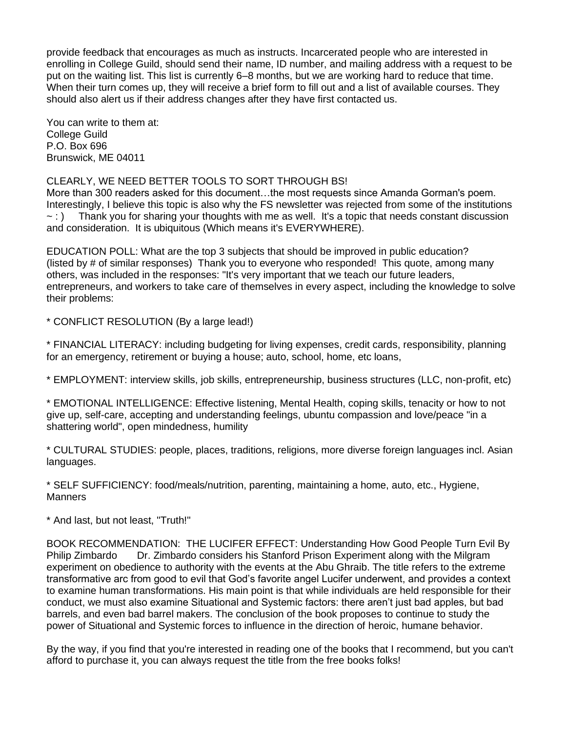provide feedback that encourages as much as instructs. Incarcerated people who are interested in enrolling in College Guild, should send their name, ID number, and mailing address with a request to be put on the waiting list. This list is currently 6–8 months, but we are working hard to reduce that time. When their turn comes up, they will receive a brief form to fill out and a list of available courses. They should also alert us if their address changes after they have first contacted us.

You can write to them at: College Guild P.O. Box 696 Brunswick, ME 04011

CLEARLY, WE NEED BETTER TOOLS TO SORT THROUGH BS!

More than 300 readers asked for this document…the most requests since Amanda Gorman's poem. Interestingly, I believe this topic is also why the FS newsletter was rejected from some of the institutions  $\sim$  : ) Thank you for sharing your thoughts with me as well. It's a topic that needs constant discussion and consideration. It is ubiquitous (Which means it's EVERYWHERE).

EDUCATION POLL: What are the top 3 subjects that should be improved in public education? (listed by # of similar responses) Thank you to everyone who responded! This quote, among many others, was included in the responses: "It's very important that we teach our future leaders, entrepreneurs, and workers to take care of themselves in every aspect, including the knowledge to solve their problems:

\* CONFLICT RESOLUTION (By a large lead!)

\* FINANCIAL LITERACY: including budgeting for living expenses, credit cards, responsibility, planning for an emergency, retirement or buying a house; auto, school, home, etc loans,

\* EMPLOYMENT: interview skills, job skills, entrepreneurship, business structures (LLC, non-profit, etc)

\* EMOTIONAL INTELLIGENCE: Effective listening, Mental Health, coping skills, tenacity or how to not give up, self-care, accepting and understanding feelings, ubuntu compassion and love/peace "in a shattering world", open mindedness, humility

\* CULTURAL STUDIES: people, places, traditions, religions, more diverse foreign languages incl. Asian languages.

\* SELF SUFFICIENCY: food/meals/nutrition, parenting, maintaining a home, auto, etc., Hygiene, **Manners** 

\* And last, but not least, "Truth!"

BOOK RECOMMENDATION: THE LUCIFER EFFECT: Understanding How Good People Turn Evil By Philip Zimbardo Dr. Zimbardo considers his Stanford Prison Experiment along with the Milgram experiment on obedience to authority with the events at the Abu Ghraib. The title refers to the extreme transformative arc from good to evil that God's favorite angel Lucifer underwent, and provides a context to examine human transformations. His main point is that while individuals are held responsible for their conduct, we must also examine Situational and Systemic factors: there aren't just bad apples, but bad barrels, and even bad barrel makers. The conclusion of the book proposes to continue to study the power of Situational and Systemic forces to influence in the direction of heroic, humane behavior.

By the way, if you find that you're interested in reading one of the books that I recommend, but you can't afford to purchase it, you can always request the title from the free books folks!